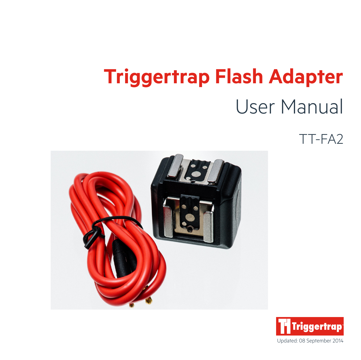## **Triggertrap Flash Adapter**  User Manual

TT-FA2



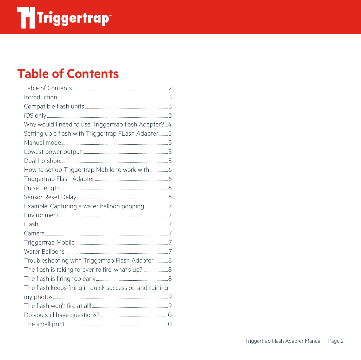### **Table of Contents**

| Why would I need to use Triggertrap flash Adapter?4    |  |
|--------------------------------------------------------|--|
| Setting up a flash with Triggertrap FLash Adapter 5    |  |
|                                                        |  |
|                                                        |  |
|                                                        |  |
|                                                        |  |
|                                                        |  |
|                                                        |  |
|                                                        |  |
| Example: Capturing a water balloon popping7            |  |
|                                                        |  |
|                                                        |  |
|                                                        |  |
|                                                        |  |
|                                                        |  |
| Troubleshooting with Triggertrap Flash Adapter8        |  |
| The flash is taking forever to fire, what's up?!       |  |
|                                                        |  |
| The flash keeps firing in quick succession and ruining |  |
|                                                        |  |
|                                                        |  |
|                                                        |  |
|                                                        |  |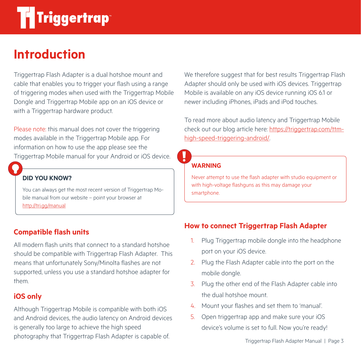### **Introduction**

Triggertrap Flash Adapter is a dual hotshoe mount and cable that enables you to trigger your flash using a range of triggering modes when used with the Triggertrap Mobile Dongle and Triggertrap Mobile app on an iOS device or with a Triggertrap hardware product.

Please note: this manual does not cover the triggering modes available in the Triggertrap Mobile app. For information on how to use the app please see the Triggertrap Mobile manual for your Android or iOS device.

#### **DID YOU KNOW?**

You can always get the most recent version of Triggertrap Mobile manual from our website – point your browser at http://tri.gg/manual

### **Compatible flash units**

All modern flash units that connect to a standard hotshoe should be compatible with Triggertrap Flash Adapter. This means that unfortunately Sony/Minolta flashes are not supported, unless you use a standard hotshoe adapter for them.

### **iOS only**

Although Triggertrap Mobile is compatible with both iOS and Android devices, the audio latency on Android devices is generally too large to achieve the high speed photography that Triggertrap Flash Adapter is capable of.

We therefore suggest that for best results Triggertrap Flash Adapter should only be used with iOS devices. Triggertrap Mobile is available on any iOS device running iOS 6.1 or newer including iPhones, iPads and iPod touches.

To read more about audio latency and Triggertrap Mobile check out our blog article here: https://triggertrap.com/ttmhigh-speed-triggering-android/.

#### **WARNING**

Never attempt to use the flash adapter with studio equipment or with high-voltage flashguns as this may damage your smartphone.

### **How to connect Triggertrap Flash Adapter**

- 1. Plug Triggertrap mobile dongle into the headphone port on your iOS device.
- 2. Plug the Flash Adapter cable into the port on the mobile dongle.
- 3. Plug the other end of the Flash Adapter cable into the dual hotshoe mount.
- 4. Mount your flashes and set them to 'manual'.
- 5. Open triggertrap app and make sure your iOS device's volume is set to full. Now you're ready!

Triggertrap Flash Adapter Manual | Page 3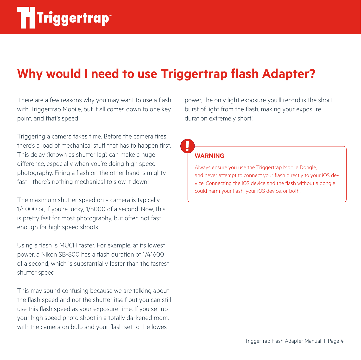### **Why would I need to use Triggertrap flash Adapter?**

There are a few reasons why you may want to use a flash with Triggertrap Mobile, but it all comes down to one key point, and that's speed!

Triggering a camera takes time. Before the camera fires, there's a load of mechanical stuff that has to happen first. This delay (known as shutter lag) can make a huge difference, especially when you're doing high speed photography. Firing a flash on the other hand is mighty fast - there's nothing mechanical to slow it down!

The maximum shutter speed on a camera is typically 1/4000 or, if you're lucky, 1/8000 of a second. Now, this is pretty fast for most photography, but often not fast enough for high speed shoots.

Using a flash is MUCH faster. For example, at its lowest power, a Nikon SB-800 has a flash duration of 1/41600 of a second, which is substantially faster than the fastest shutter speed.

This may sound confusing because we are talking about the flash speed and not the shutter itself but you can still use this flash speed as your exposure time. If you set up your high speed photo shoot in a totally darkened room, with the camera on bulb and your flash set to the lowest

power, the only light exposure you'll record is the short burst of light from the flash, making your exposure duration extremely short!

### **WARNING**

Always ensure you use the Triggertrap Mobile Dongle, and never attempt to connect your flash directly to your iOS device. Connecting the iOS device and the flash without a dongle could harm your flash, your iOS device, or both.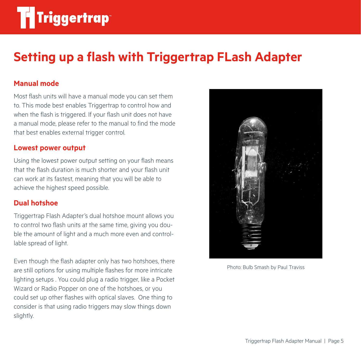### **Setting up a flash with Triggertrap FLash Adapter**

#### **Manual mode**

Most flash units will have a manual mode you can set them to. This mode best enables Triggertrap to control how and when the flash is triggered. If your flash unit does not have a manual mode, please refer to the manual to find the mode that best enables external trigger control.

#### **Lowest power output**

Using the lowest power output setting on your flash means that the flash duration is much shorter and your flash unit can work at its fastest, meaning that you will be able to achieve the highest speed possible.

#### **Dual hotshoe**

Triggertrap Flash Adapter's dual hotshoe mount allows you to control two flash units at the same time, giving you double the amount of light and a much more even and controllable spread of light.

Even though the flash adapter only has two hotshoes, there are still options for using multiple flashes for more intricate lighting setups . You could plug a radio trigger, like a Pocket Wizard or Radio Popper on one of the hotshoes, or you could set up other flashes with optical slaves. One thing to consider is that using radio triggers may slow things down slightly.



Photo: Bulb Smash by Paul Traviss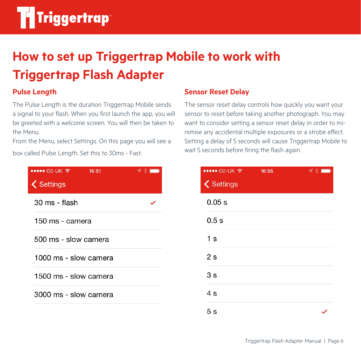## **How to set up Triggertrap Mobile to work with Triggertrap Flash Adapter**

### **Pulse Length**

The Pulse Length is the duration Triggertrap Mobile sends a signal to your flash. When you first launch the app, you will be greeted with a welcome screen. You will then be taken to the Menu.

From the Menu, select Settings. On this page you will see a box called Pulse Length. Set this to 30ms - Fast.

| $\bullet\bullet\bullet\bullet$ O2-UK $\widehat{\mathcal{P}}$<br>16:51<br><b>く</b> Settings | $\mathcal{I} \times \blacksquare$ |
|--------------------------------------------------------------------------------------------|-----------------------------------|
| 30 ms - flash                                                                              |                                   |
| 150 ms - camera                                                                            |                                   |
| 500 ms - slow camera                                                                       |                                   |
| 1000 ms - slow camera                                                                      |                                   |
| 1500 ms - slow camera                                                                      |                                   |
| 3000 ms - slow camera                                                                      |                                   |
|                                                                                            |                                   |

### **Sensor Reset Delay**

The sensor reset delay controls how quickly you want your sensor to reset before taking another photograph. You may want to consider setting a sensor reset delay in order to minimise any accidental multiple exposures or a strobe effect. Setting a delay of 5 seconds will cause Triggertrap Mobile to wait 5 seconds before firing the flash again.

| ••••• 02-UK ?     | 16:55 | $7$ $*$ $\blacksquare$ |
|-------------------|-------|------------------------|
| <b>く</b> Settings |       |                        |
| 0.05 s            |       |                        |
| 0.5s              |       |                        |
| 1 <sub>s</sub>    |       |                        |
| 2s                |       |                        |
| 3 <sub>s</sub>    |       |                        |
| 4s                |       |                        |
| 5 <sub>s</sub>    |       |                        |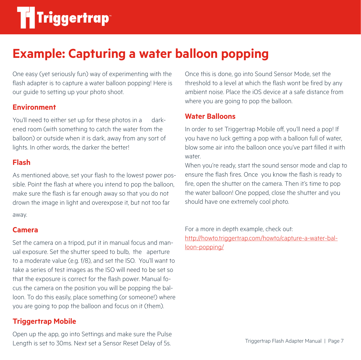### **Example: Capturing a water balloon popping**

One easy (yet seriously fun) way of experimenting with the flash adapter is to capture a water balloon popping! Here is our guide to setting up your photo shoot.

### **Environment**

You'll need to either set up for these photos in a darkened room (with something to catch the water from the balloon) or outside when it is dark, away from any sort of lights. In other words, the darker the better!

#### **Flash**

As mentioned above, set your flash to the lowest power possible. Point the flash at where you intend to pop the balloon, make sure the flash is far enough away so that you do not drown the image in light and overexpose it, but not too far away.

#### **Camera**

Set the camera on a tripod, put it in manual focus and manual exposure. Set the shutter speed to bulb, the aperture to a moderate value (e.g. f/8), and set the ISO. You'll want to take a series of test images as the ISO will need to be set so that the exposure is correct for the flash power. Manual focus the camera on the position you will be popping the balloon. To do this easily, place something (or someone!) where you are going to pop the balloon and focus on it (them).

### **Triggertrap Mobile**

Open up the app, go into Settings and make sure the Pulse Length is set to 30ms. Next set a Sensor Reset Delay of 5s.

Once this is done, go into Sound Sensor Mode, set the threshold to a level at which the flash wont be fired by any ambient noise. Place the iOS device at a safe distance from where you are going to pop the balloon.

### **Water Balloons**

In order to set Triggertrap Mobile off, you'll need a pop! If you have no luck getting a pop with a balloon full of water, blow some air into the balloon once you've part filled it with water.

When you're ready, start the sound sensor mode and clap to ensure the flash fires. Once you know the flash is ready to fire, open the shutter on the camera. Then it's time to pop the water balloon! One popped, close the shutter and you should have one extremely cool photo.

For a more in depth example, check out: http://howto.triggertrap.com/howto/capture-a-water-balloon-popping/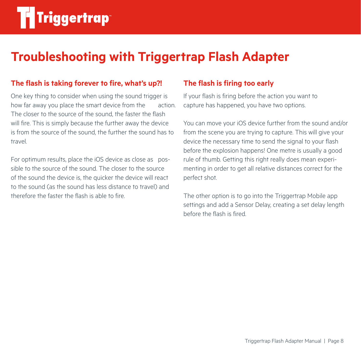### **Troubleshooting with Triggertrap Flash Adapter**

### **The flash is taking forever to fire, what's up?!**

One key thing to consider when using the sound trigger is how far away you place the smart device from the action. The closer to the source of the sound, the faster the flash will fire. This is simply because the further away the device is from the source of the sound, the further the sound has to travel.

For optimum results, place the iOS device as close as possible to the source of the sound. The closer to the source of the sound the device is, the quicker the device will react to the sound (as the sound has less distance to travel) and therefore the faster the flash is able to fire.

### **The flash is firing too early**

If your flash is firing before the action you want to capture has happened, you have two options.

You can move your iOS device further from the sound and/or from the scene you are trying to capture. This will give your device the necessary time to send the signal to your flash before the explosion happens! One metre is usually a good rule of thumb. Getting this right really does mean experimenting in order to get all relative distances correct for the perfect shot.

The other option is to go into the Triggertrap Mobile app settings and add a Sensor Delay, creating a set delay length before the flash is fired.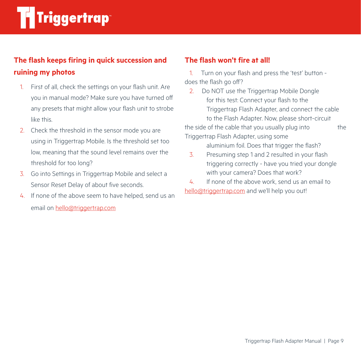### **The flash keeps firing in quick succession and ruining my photos**

- 1. First of all, check the settings on your flash unit. Are you in manual mode? Make sure you have turned off any presets that might allow your flash unit to strobe like this.
- 2. Check the threshold in the sensor mode you are using in Triggertrap Mobile. Is the threshold set too low, meaning that the sound level remains over the threshold for too long?
- 3. Go into Settings in Triggertrap Mobile and select a Sensor Reset Delay of about five seconds.
- 4. If none of the above seem to have helped, send us an email on hello@triggertrap.com

### **The flash won't fire at all!**

 1. Turn on your flash and press the 'test' button does the flash go off?

 2. Do NOT use the Triggertrap Mobile Dongle for this test: Connect your flash to the Triggertrap Flash Adapter, and connect the cable to the Flash Adapter. Now, please short-circuit the side of the cable that you usually plug into the

Triggertrap Flash Adapter, using some

aluminium foil. Does that trigger the flash?

- 3. Presuming step 1 and 2 resulted in your flash triggering correctly - have you tried your dongle with your camera? Does that work?
- 4. If none of the above work, send us an email to hello@triggertrap.com and we'll help you out!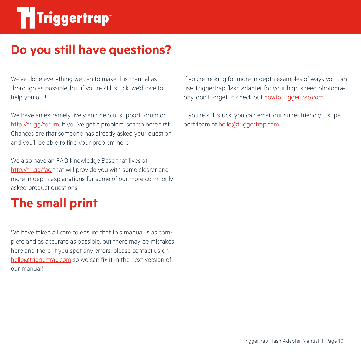# **Til Triggertrap**

### **Do you still have questions?**

We've done everything we can to make this manual as thorough as possible, but if you're still stuck, we'd love to help you out!

We have an extremely lively and helpful support forum on http://tri.gg/forum. If you've got a problem, search here first. Chances are that someone has already asked your question, and you'll be able to find your problem here.

We also have an FAQ Knowledge Base that lives at http://tri.gg/faq that will provide you with some clearer and more in depth explanations for some of our more commonly asked product questions.

### **The small print**

We have taken all care to ensure that this manual is as complete and as accurate as possible, but there may be mistakes here and there. If you spot any errors, please contact us on hello@triggertrap.com so we can fix it in the next version of our manual!

If you're looking for more in depth examples of ways you can use Triggertrap flash adapter for your high speed photography, don't forget to check out howto.triggertrap.com.

If you're still stuck, you can email our super friendly support team at hello@triggertrap.com